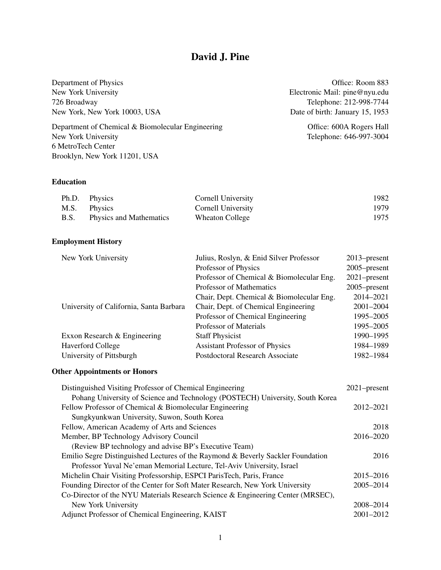# David J. Pine

Department of Physics Office: Room 883 New York University Electronic Mail: pine@nyu.edu 726 Broadway Telephone: 212-998-7744<br>
New York, New York 10003, USA Date of birth: January 15, 1953 New York, New York 10003, USA

Department of Chemical & Biomolecular Engineering Office: 600A Rogers Hall New York University Telephone: 646-997-3004 6 MetroTech Center Brooklyn, New York 11201, USA

# Education

|             | Ph.D. Physics                  | Cornell University        | 1982 |
|-------------|--------------------------------|---------------------------|------|
|             | M.S. Physics                   | <b>Cornell University</b> | 1979 |
| <b>B.S.</b> | <b>Physics and Mathematics</b> | Wheaton College           | 1975 |

# Employment History

| New York University                     | Julius, Roslyn, & Enid Silver Professor   | 2013–present    |
|-----------------------------------------|-------------------------------------------|-----------------|
|                                         | Professor of Physics                      | 2005–present    |
|                                         | Professor of Chemical & Biomolecular Eng. | $2021$ -present |
|                                         | Professor of Mathematics                  | 2005–present    |
|                                         | Chair, Dept. Chemical & Biomolecular Eng. | 2014-2021       |
| University of California, Santa Barbara | Chair, Dept. of Chemical Engineering      | 2001-2004       |
|                                         | Professor of Chemical Engineering         | 1995-2005       |
|                                         | Professor of Materials                    | 1995-2005       |
| Exxon Research & Engineering            | <b>Staff Physicist</b>                    | 1990-1995       |
| <b>Haverford College</b>                | <b>Assistant Professor of Physics</b>     | 1984-1989       |
| University of Pittsburgh                | Postdoctoral Research Associate           | 1982-1984       |
|                                         |                                           |                 |

# Other Appointments or Honors

| Distinguished Visiting Professor of Chemical Engineering                        |           |  |
|---------------------------------------------------------------------------------|-----------|--|
| Pohang University of Science and Technology (POSTECH) University, South Korea   |           |  |
| Fellow Professor of Chemical & Biomolecular Engineering                         |           |  |
| Sungkyunkwan University, Suwon, South Korea                                     |           |  |
| Fellow, American Academy of Arts and Sciences                                   | 2018      |  |
| Member, BP Technology Advisory Council                                          | 2016–2020 |  |
| (Review BP technology and advise BP's Executive Team)                           |           |  |
| Emilio Segre Distinguished Lectures of the Raymond & Beverly Sackler Foundation |           |  |
| Professor Yuval Ne'eman Memorial Lecture, Tel-Aviv University, Israel           |           |  |
| Michelin Chair Visiting Professorship, ESPCI ParisTech, Paris, France           | 2015-2016 |  |
| Founding Director of the Center for Soft Mater Research, New York University    | 2005-2014 |  |
| Co-Director of the NYU Materials Research Science & Engineering Center (MRSEC), |           |  |
| New York University                                                             | 2008-2014 |  |
| Adjunct Professor of Chemical Engineering, KAIST                                | 2001-2012 |  |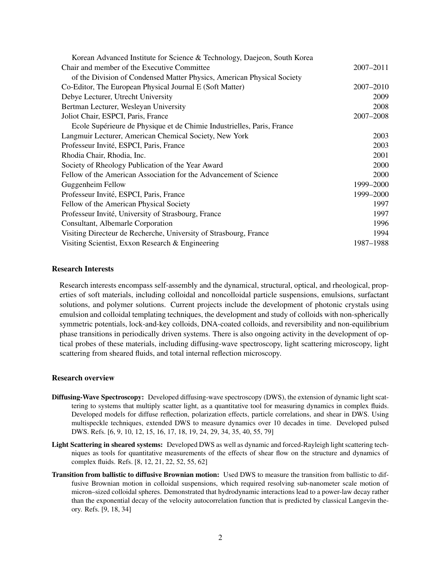| Korean Advanced Institute for Science & Technology, Daejeon, South Korea |               |
|--------------------------------------------------------------------------|---------------|
| Chair and member of the Executive Committee                              | $2007 - 2011$ |
| of the Division of Condensed Matter Physics, American Physical Society   |               |
| Co-Editor, The European Physical Journal E (Soft Matter)                 | 2007-2010     |
| Debye Lecturer, Utrecht University                                       | 2009          |
| Bertman Lecturer, Wesleyan University                                    | 2008          |
| Joliot Chair, ESPCI, Paris, France                                       | 2007-2008     |
| Ecole Supérieure de Physique et de Chimie Industrielles, Paris, France   |               |
| Langmuir Lecturer, American Chemical Society, New York                   | 2003          |
| Professeur Invité, ESPCI, Paris, France                                  | 2003          |
| Rhodia Chair, Rhodia, Inc.                                               | 2001          |
| Society of Rheology Publication of the Year Award                        | 2000          |
| Fellow of the American Association for the Advancement of Science        | 2000          |
| Guggenheim Fellow                                                        | 1999-2000     |
| Professeur Invité, ESPCI, Paris, France                                  | 1999-2000     |
| Fellow of the American Physical Society                                  | 1997          |
| Professeur Invité, University of Strasbourg, France                      | 1997          |
| Consultant, Albemarle Corporation                                        | 1996          |
| Visiting Directeur de Recherche, University of Strasbourg, France        | 1994          |
| Visiting Scientist, Exxon Research & Engineering                         | 1987–1988     |

## Research Interests

Research interests encompass self-assembly and the dynamical, structural, optical, and rheological, properties of soft materials, including colloidal and noncolloidal particle suspensions, emulsions, surfactant solutions, and polymer solutions. Current projects include the development of photonic crystals using emulsion and colloidal templating techniques, the development and study of colloids with non-spherically symmetric potentials, lock-and-key colloids, DNA-coated colloids, and reversibility and non-equilibrium phase transitions in periodically driven systems. There is also ongoing activity in the development of optical probes of these materials, including diffusing-wave spectroscopy, light scattering microscopy, light scattering from sheared fluids, and total internal reflection microscopy.

### Research overview

- Diffusing-Wave Spectroscopy: Developed diffusing-wave spectroscopy (DWS), the extension of dynamic light scattering to systems that multiply scatter light, as a quantitative tool for measuring dynamics in complex fluids. Developed models for diffuse reflection, polarization effects, particle correlations, and shear in DWS. Using multispeckle techniques, extended DWS to measure dynamics over 10 decades in time. Developed pulsed DWS. Refs. [\[6,](#page-3-0) [9,](#page-4-0) [10,](#page-4-1) [12,](#page-4-2) [15,](#page-4-3) [16,](#page-4-4) [17,](#page-4-5) [18,](#page-4-6) [19,](#page-4-7) [24,](#page-4-8) [29,](#page-5-0) [34,](#page-5-1) [35,](#page-5-2) [40,](#page-5-3) [55,](#page-6-0) [79\]](#page-7-0)
- Light Scattering in sheared systems: Developed DWS as well as dynamic and forced-Rayleigh light scattering techniques as tools for quantitative measurements of the effects of shear flow on the structure and dynamics of complex fluids. Refs. [\[8,](#page-4-9) [12,](#page-4-2) [21,](#page-4-10) [22,](#page-4-11) [52,](#page-6-1) [55,](#page-6-0) [62\]](#page-7-1)
- Transition from ballistic to diffusive Brownian motion: Used DWS to measure the transition from ballistic to diffusive Brownian motion in colloidal suspensions, which required resolving sub-nanometer scale motion of micron–sized colloidal spheres. Demonstrated that hydrodynamic interactions lead to a power-law decay rather than the exponential decay of the velocity autocorrelation function that is predicted by classical Langevin theory. Refs. [\[9,](#page-4-0) [18,](#page-4-6) [34\]](#page-5-1)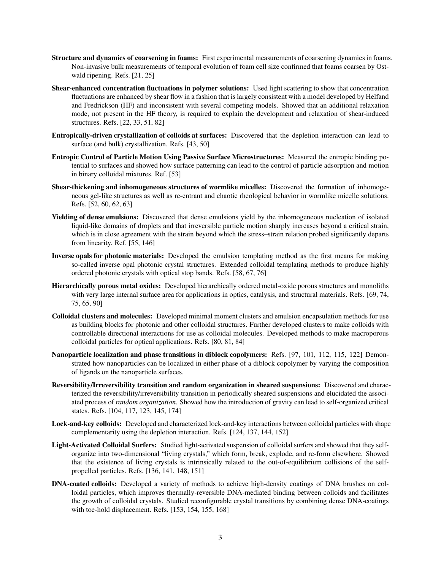- Structure and dynamics of coarsening in foams: First experimental measurements of coarsening dynamics in foams. Non-invasive bulk measurements of temporal evolution of foam cell size confirmed that foams coarsen by Ostwald ripening. Refs. [\[21,](#page-4-10) [25\]](#page-5-4)
- Shear-enhanced concentration fluctuations in polymer solutions: Used light scattering to show that concentration fluctuations are enhanced by shear flow in a fashion that is largely consistent with a model developed by Helfand and Fredrickson (HF) and inconsistent with several competing models. Showed that an additional relaxation mode, not present in the HF theory, is required to explain the development and relaxation of shear-induced structures. Refs. [\[22,](#page-4-11) [33,](#page-5-5) [51,](#page-6-2) [82\]](#page-8-0)
- Entropically-driven crystallization of colloids at surfaces: Discovered that the depletion interaction can lead to surface (and bulk) crystallization. Refs. [\[43,](#page-6-3) [50\]](#page-6-4)
- Entropic Control of Particle Motion Using Passive Surface Microstructures: Measured the entropic binding potential to surfaces and showed how surface patterning can lead to the control of particle adsorption and motion in binary colloidal mixtures. Ref. [\[53\]](#page-6-5)
- Shear-thickening and inhomogeneous structures of wormlike micelles: Discovered the formation of inhomogeneous gel-like structures as well as re-entrant and chaotic rheological behavior in wormlike micelle solutions. Refs. [\[52,](#page-6-1) [60,](#page-6-6) [62,](#page-7-1) [63\]](#page-7-2)
- Yielding of dense emulsions: Discovered that dense emulsions yield by the inhomogeneous nucleation of isolated liquid-like domains of droplets and that irreversible particle motion sharply increases beyond a critical strain, which is in close agreement with the strain beyond which the stress–strain relation probed significantly departs from linearity. Ref. [\[55,](#page-6-0) [146\]](#page-11-0)
- Inverse opals for photonic materials: Developed the emulsion templating method as the first means for making so-called inverse opal photonic crystal structures. Extended colloidal templating methods to produce highly ordered photonic crystals with optical stop bands. Refs. [\[58,](#page-6-7) [67,](#page-7-3) [76\]](#page-7-4)
- Hierarchically porous metal oxides: Developed hierarchically ordered metal-oxide porous structures and monoliths with very large internal surface area for applications in optics, catalysis, and structural materials. Refs. [\[69,](#page-7-5) [74,](#page-7-6) [75,](#page-7-7) [65,](#page-7-8) [90\]](#page-8-1)
- Colloidal clusters and molecules: Developed minimal moment clusters and emulsion encapsulation methods for use as building blocks for photonic and other colloidal structures. Further developed clusters to make colloids with controllable directional interactions for use as colloidal molecules. Developed methods to make macroporous colloidal particles for optical applications. Refs. [\[80,](#page-8-2) [81,](#page-8-3) [84\]](#page-8-4)
- Nanoparticle localization and phase transitions in diblock copolymers: Refs. [\[97,](#page-8-5) [101,](#page-9-0) [112,](#page-9-1) [115,](#page-9-2) [122\]](#page-10-0) Demonstrated how nanoparticles can be localized in either phase of a diblock copolymer by varying the composition of ligands on the nanoparticle surfaces.
- Reversibility/Irreversibility transition and random organization in sheared suspensions: Discovered and characterized the reversibility/irreversibility transition in periodically sheared suspensions and elucidated the associated process of *random organization*. Showed how the introduction of gravity can lead to self-organized critical states. Refs. [\[104,](#page-9-3) [117,](#page-9-4) [123,](#page-10-1) [145,](#page-11-1) [174\]](#page-12-0)
- Lock-and-key colloids: Developed and characterized lock-and-key interactions between colloidal particles with shape complementarity using the depletion interaction. Refs. [\[124,](#page-10-2) [137,](#page-11-2) [144,](#page-11-3) [152\]](#page-11-4)
- Light-Activated Colloidal Surfers: Studied light-activated suspension of colloidal surfers and showed that they selforganize into two-dimensional "living crystals," which form, break, explode, and re-form elsewhere. Showed that the existence of living crystals is intrinsically related to the out-of-equilibrium collisions of the selfpropelled particles. Refs. [\[136,](#page-10-3) [141,](#page-11-5) [148,](#page-11-6) [151\]](#page-11-7)
- DNA-coated colloids: Developed a variety of methods to achieve high-density coatings of DNA brushes on colloidal particles, which improves thermally-reversible DNA-mediated binding between colloids and facilitates the growth of colloidal crystals. Studied reconfigurable crystal transitions by combining dense DNA-coatings with toe-hold displacement. Refs. [\[153,](#page-11-8) [154,](#page-11-9) [155,](#page-11-10) [168\]](#page-12-1)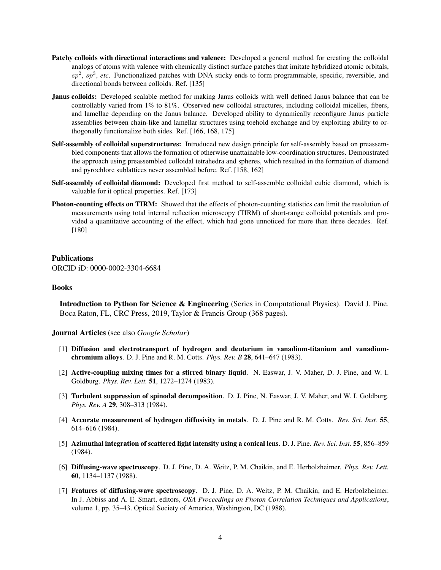- Patchy colloids with directional interactions and valence: Developed a general method for creating the colloidal analogs of atoms with valence with chemically distinct surface patches that imitate hybridized atomic orbitals, sp<sup>2</sup>, sp<sup>3</sup>, etc. Functionalized patches with DNA sticky ends to form programmable, specific, reversible, and directional bonds between colloids. Ref. [\[135\]](#page-10-4)
- Janus colloids: Developed scalable method for making Janus colloids with well defined Janus balance that can be controllably varied from 1% to 81%. Observed new colloidal structures, including colloidal micelles, fibers, and lamellae depending on the Janus balance. Developed ability to dynamically reconfigure Janus particle assemblies between chain-like and lamellar structures using toehold exchange and by exploiting ability to orthogonally functionalize both sides. Ref. [\[166,](#page-12-2) [168,](#page-12-1) [175\]](#page-13-0)
- Self-assembly of colloidal superstructures: Introduced new design principle for self-assembly based on preassembled components that allows the formation of otherwise unattainable low-coordination structures. Demonstrated the approach using preassembled colloidal tetrahedra and spheres, which resulted in the formation of diamond and pyrochlore sublattices never assembled before. Ref. [\[158,](#page-12-3) [162\]](#page-12-4)
- Self-assembly of colloidal diamond: Developed first method to self-assemble colloidal cubic diamond, which is valuable for it optical properties. Ref. [\[173\]](#page-12-5)
- Photon-counting effects on TIRM: Showed that the effects of photon-counting statistics can limit the resolution of measurements using total internal reflection microscopy (TIRM) of short-range colloidal potentials and provided a quantitative accounting of the effect, which had gone unnoticed for more than three decades. Ref. [\[180\]](#page-13-1)

#### Publications

ORCID iD: 0000-0002-3304-6684

#### Books

Introduction to Python for Science & Engineering (Series in Computational Physics). David J. Pine. Boca Raton, FL, CRC Press, 2019, Taylor & Francis Group (368 pages).

Journal Articles (see also *[Google Scholar](https://scholar.google.com/citations?user=lc5f21oAAAAJ&hl=en)*)

- [1] Diffusion and electrotransport of hydrogen and deuterium in vanadium-titanium and vanadiumchromium alloys. D. J. Pine and R. M. Cotts. *Phys. Rev. B* 28, 641–647 (1983).
- [2] Active-coupling mixing times for a stirred binary liquid. N. Easwar, J. V. Maher, D. J. Pine, and W. I. Goldburg. *Phys. Rev. Lett.* 51, 1272–1274 (1983).
- [3] Turbulent suppression of spinodal decomposition. D. J. Pine, N. Easwar, J. V. Maher, and W. I. Goldburg. *Phys. Rev. A* 29, 308–313 (1984).
- [4] Accurate measurement of hydrogen diffusivity in metals. D. J. Pine and R. M. Cotts. *Rev. Sci. Inst.* 55, 614–616 (1984).
- [5] Azimuthal integration of scattered light intensity using a conical lens. D. J. Pine. *Rev. Sci. Inst.* 55, 856–859 (1984).
- <span id="page-3-0"></span>[6] Diffusing-wave spectroscopy. D. J. Pine, D. A. Weitz, P. M. Chaikin, and E. Herbolzheimer. *Phys. Rev. Lett.* 60, 1134–1137 (1988).
- [7] Features of diffusing-wave spectroscopy. D. J. Pine, D. A. Weitz, P. M. Chaikin, and E. Herbolzheimer. In J. Abbiss and A. E. Smart, editors, *OSA Proceedings on Photon Correlation Techniques and Applications*, volume 1, pp. 35–43. Optical Society of America, Washington, DC (1988).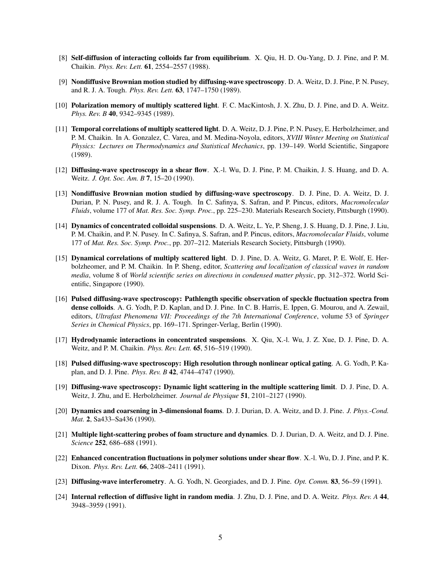- <span id="page-4-9"></span>[8] Self-diffusion of interacting colloids far from equilibrium. X. Qiu, H. D. Ou-Yang, D. J. Pine, and P. M. Chaikin. *Phys. Rev. Lett.* 61, 2554–2557 (1988).
- <span id="page-4-0"></span>[9] Nondiffusive Brownian motion studied by diffusing-wave spectroscopy. D. A. Weitz, D. J. Pine, P. N. Pusey, and R. J. A. Tough. *Phys. Rev. Lett.* 63, 1747–1750 (1989).
- <span id="page-4-1"></span>[10] Polarization memory of multiply scattered light. F. C. MacKintosh, J. X. Zhu, D. J. Pine, and D. A. Weitz. *Phys. Rev. B* 40, 9342–9345 (1989).
- [11] Temporal correlations of multiply scattered light. D. A. Weitz, D. J. Pine, P. N. Pusey, E. Herbolzheimer, and P. M. Chaikin. In A. Gonzalez, C. Varea, and M. Medina-Noyola, editors, *XVIII Winter Meeting on Statistical Physics: Lectures on Thermodynamics and Statistical Mechanics*, pp. 139–149. World Scientific, Singapore (1989).
- <span id="page-4-2"></span>[12] Diffusing-wave spectroscopy in a shear flow. X.-l. Wu, D. J. Pine, P. M. Chaikin, J. S. Huang, and D. A. Weitz. *J. Opt. Soc. Am. B* 7, 15–20 (1990).
- [13] Nondiffusive Brownian motion studied by diffusing-wave spectroscopy. D. J. Pine, D. A. Weitz, D. J. Durian, P. N. Pusey, and R. J. A. Tough. In C. Safinya, S. Safran, and P. Pincus, editors, *Macromolecular Fluids*, volume 177 of *Mat. Res. Soc. Symp. Proc.*, pp. 225–230. Materials Research Society, Pittsburgh (1990).
- [14] Dynamics of concentrated colloidal suspensions. D. A. Weitz, L. Ye, P. Sheng, J. S. Huang, D. J. Pine, J. Liu, P. M. Chaikin, and P. N. Pusey. In C. Safinya, S. Safran, and P. Pincus, editors, *Macromolecular Fluids*, volume 177 of *Mat. Res. Soc. Symp. Proc.*, pp. 207–212. Materials Research Society, Pittsburgh (1990).
- <span id="page-4-3"></span>[15] Dynamical correlations of multiply scattered light. D. J. Pine, D. A. Weitz, G. Maret, P. E. Wolf, E. Herbolzheomer, and P. M. Chaikin. In P. Sheng, editor, *Scattering and localization of classical waves in random media*, volume 8 of *World scientific series on directions in condensed matter physic*, pp. 312–372. World Scientific, Singapore (1990).
- <span id="page-4-4"></span>[16] Pulsed diffusing-wave spectroscopy: Pathlength specific observation of speckle fluctuation spectra from dense colloids. A. G. Yodh, P. D. Kaplan, and D. J. Pine. In C. B. Harris, E. Ippen, G. Mourou, and A. Zewail, editors, *Ultrafast Phenomena VII: Proceedings of the 7th International Conference*, volume 53 of *Springer Series in Chemical Physics*, pp. 169–171. Springer-Verlag, Berlin (1990).
- <span id="page-4-5"></span>[17] Hydrodynamic interactions in concentrated suspensions. X. Qiu, X.-l. Wu, J. Z. Xue, D. J. Pine, D. A. Weitz, and P. M. Chaikin. *Phys. Rev. Lett.* 65, 516–519 (1990).
- <span id="page-4-6"></span>[18] Pulsed diffusing-wave spectroscopy: High resolution through nonlinear optical gating. A. G. Yodh, P. Kaplan, and D. J. Pine. *Phys. Rev. B* 42, 4744–4747 (1990).
- <span id="page-4-7"></span>[19] Diffusing-wave spectroscopy: Dynamic light scattering in the multiple scattering limit. D. J. Pine, D. A. Weitz, J. Zhu, and E. Herbolzheimer. *Journal de Physique* 51, 2101–2127 (1990).
- [20] Dynamics and coarsening in 3-dimensional foams. D. J. Durian, D. A. Weitz, and D. J. Pine. *J. Phys.-Cond. Mat.* 2, Sa433–Sa436 (1990).
- <span id="page-4-10"></span>[21] Multiple light-scattering probes of foam structure and dynamics. D. J. Durian, D. A. Weitz, and D. J. Pine. *Science* 252, 686–688 (1991).
- <span id="page-4-11"></span>[22] Enhanced concentration fluctuations in polymer solutions under shear flow. X.-l. Wu, D. J. Pine, and P. K. Dixon. *Phys. Rev. Lett.* 66, 2408–2411 (1991).
- [23] Diffusing-wave interferometry. A. G. Yodh, N. Georgiades, and D. J. Pine. *Opt. Comm.* 83, 56–59 (1991).
- <span id="page-4-8"></span>[24] Internal reflection of diffusive light in random media. J. Zhu, D. J. Pine, and D. A. Weitz. *Phys. Rev. A* 44, 3948–3959 (1991).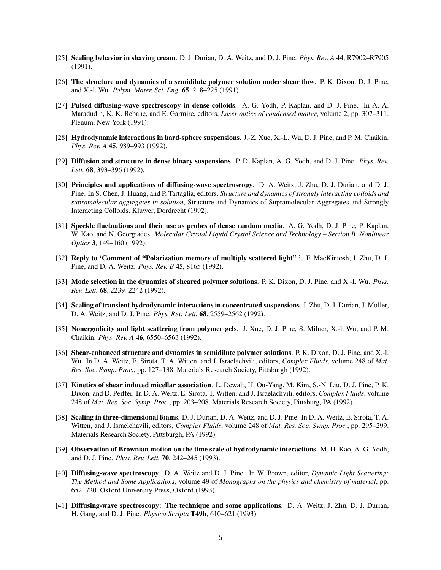- <span id="page-5-4"></span>[25] Scaling behavior in shaving cream. D. J. Durian, D. A. Weitz, and D. J. Pine. *Phys. Rev. A* 44, R7902–R7905 (1991).
- [26] The structure and dynamics of a semidilute polymer solution under shear flow. P. K. Dixon, D. J. Pine, and X.-l. Wu. *Polym. Mater. Sci. Eng.* 65, 218–225 (1991).
- [27] Pulsed diffusing-wave spectroscopy in dense colloids. A. G. Yodh, P. Kaplan, and D. J. Pine. In A. A. Maradudin, K. K. Rebane, and E. Garmire, editors, *Laser optics of condensed matter*, volume 2, pp. 307–311. Plenum, New York (1991).
- [28] Hydrodynamic interactions in hard-sphere suspensions. J.-Z. Xue, X.-L. Wu, D. J. Pine, and P. M. Chaikin. *Phys. Rev. A* 45, 989–993 (1992).
- <span id="page-5-0"></span>[29] Diffusion and structure in dense binary suspensions. P. D. Kaplan, A. G. Yodh, and D. J. Pine. *Phys. Rev. Lett.* 68, 393–396 (1992).
- [30] Principles and applications of diffusing-wave spectroscopy. D. A. Weitz, J. Zhu, D. J. Durian, and D. J. Pine. In S. Chen, J. Huang, and P. Tartaglia, editors, *Structure and dynamics of strongly interacting colloids and supramolecular aggregates in solution*, Structure and Dynamics of Supramolecular Aggregates and Strongly Interacting Colloids. Kluwer, Dordrecht (1992).
- [31] Speckle fluctuations and their use as probes of dense random media. A. G. Yodh, D. J. Pine, P. Kaplan, W. Kao, and N. Georgiades. *Molecular Crystal Liquid Crystal Science and Technology – Section B: Nonlinear Optics* 3, 149–160 (1992).
- [32] Reply to 'Comment of "Polarization memory of multiply scattered light" '. F. MacKintosh, J. Zhu, D. J. Pine, and D. A. Weitz. *Phys. Rev. B* 45, 8165 (1992).
- <span id="page-5-5"></span>[33] Mode selection in the dynamics of sheared polymer solutions. P. K. Dixon, D. J. Pine, and X.-I. Wu. *Phys. Rev. Lett.* 68, 2239–2242 (1992).
- <span id="page-5-1"></span>[34] Scaling of transient hydrodynamic interactions in concentrated suspensions. J. Zhu, D. J. Durian, J. Muller, D. A. Weitz, and D. J. Pine. *Phys. Rev. Lett.* 68, 2559–2562 (1992).
- <span id="page-5-2"></span>[35] Nonergodicity and light scattering from polymer gels. J. Xue, D. J. Pine, S. Milner, X.-l. Wu, and P. M. Chaikin. *Phys. Rev. A* 46, 6550–6563 (1992).
- [36] Shear-enhanced structure and dynamics in semidilute polymer solutions. P. K. Dixon, D. J. Pine, and X.-l. Wu. In D. A. Weitz, E. Sirota, T. A. Witten, and J. Israelachvili, editors, *Complex Fluids*, volume 248 of *Mat. Res. Soc. Symp. Proc.*, pp. 127–138. Materials Research Society, Pittsburgh (1992).
- [37] Kinetics of shear induced micellar association. L. Dewalt, H. Ou-Yang, M. Kim, S.-N. Liu, D. J. Pine, P. K. Dixon, and D. Peiffer. In D. A. Weitz, E. Sirota, T. Witten, and J. Israelachvili, editors, *Complex Fluids*, volume 248 of *Mat. Res. Soc. Symp. Proc.*, pp. 203–208. Materials Research Society, Pittsburg, PA (1992).
- [38] Scaling in three-dimensional foams. D. J. Durian, D. A. Weitz, and D. J. Pine. In D. A. Weitz, E. Sirota, T. A. Witten, and J. Israelchavili, editors, *Complex Fluids*, volume 248 of *Mat. Res. Soc. Symp. Proc.*, pp. 295–299. Materials Research Society, Pittsburgh, PA (1992).
- [39] Observation of Brownian motion on the time scale of hydrodynamic interactions. M. H. Kao, A. G. Yodh, and D. J. Pine. *Phys. Rev. Lett.* 70, 242–245 (1993).
- <span id="page-5-3"></span>[40] Diffusing-wave spectroscopy. D. A. Weitz and D. J. Pine. In W. Brown, editor, *Dynamic Light Scattering: The Method and Some Applications*, volume 49 of *Monographs on the physics and chemistry of material*, pp. 652–720. Oxford University Press, Oxford (1993).
- [41] Diffusing-wave spectroscopy: The technique and some applications. D. A. Weitz, J. Zhu, D. J. Durian, H. Gang, and D. J. Pine. *Physica Scripta* T49b, 610–621 (1993).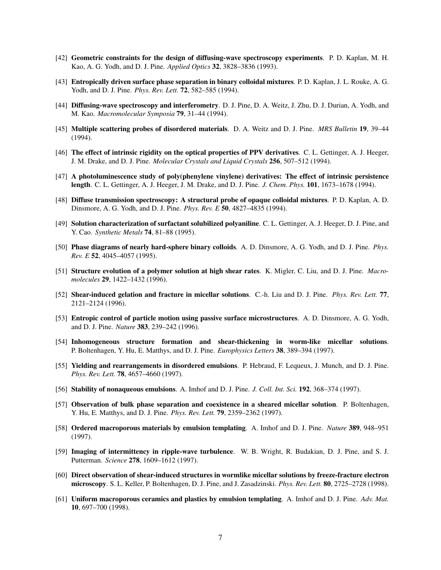- [42] Geometric constraints for the design of diffusing-wave spectroscopy experiments. P. D. Kaplan, M. H. Kao, A. G. Yodh, and D. J. Pine. *Applied Optics* 32, 3828–3836 (1993).
- <span id="page-6-3"></span>[43] Entropically driven surface phase separation in binary colloidal mixtures. P. D. Kaplan, J. L. Rouke, A. G. Yodh, and D. J. Pine. *Phys. Rev. Lett.* 72, 582–585 (1994).
- [44] Diffusing-wave spectroscopy and interferometry. D. J. Pine, D. A. Weitz, J. Zhu, D. J. Durian, A. Yodh, and M. Kao. *Macromolecular Symposia* 79, 31–44 (1994).
- [45] Multiple scattering probes of disordered materials. D. A. Weitz and D. J. Pine. *MRS Bulletin* 19, 39–44 (1994).
- [46] The effect of intrinsic rigidity on the optical properties of PPV derivatives. C. L. Gettinger, A. J. Heeger, J. M. Drake, and D. J. Pine. *Molecular Crystals and Liquid Crystals* 256, 507–512 (1994).
- [47] A photoluminescence study of poly(phenylene vinylene) derivatives: The effect of intrinsic persistence length. C. L. Gettinger, A. J. Heeger, J. M. Drake, and D. J. Pine. *J. Chem. Phys.* 101, 1673–1678 (1994).
- [48] Diffuse transmission spectroscopy: A structural probe of opaque colloidal mixtures. P. D. Kaplan, A. D. Dinsmore, A. G. Yodh, and D. J. Pine. *Phys. Rev. E* 50, 4827–4835 (1994).
- [49] Solution characterization of surfactant solubilized polyaniline. C. L. Gettinger, A. J. Heeger, D. J. Pine, and Y. Cao. *Synthetic Metals* 74, 81–88 (1995).
- <span id="page-6-4"></span>[50] Phase diagrams of nearly hard-sphere binary colloids. A. D. Dinsmore, A. G. Yodh, and D. J. Pine. *Phys. Rev. E* 52, 4045–4057 (1995).
- <span id="page-6-2"></span>[51] Structure evolution of a polymer solution at high shear rates. K. Migler, C. Liu, and D. J. Pine. *Macromolecules* 29, 1422–1432 (1996).
- <span id="page-6-1"></span>[52] Shear-induced gelation and fracture in micellar solutions. C.-h. Liu and D. J. Pine. *Phys. Rev. Lett.* 77, 2121–2124 (1996).
- <span id="page-6-5"></span>[53] Entropic control of particle motion using passive surface microstructures. A. D. Dinsmore, A. G. Yodh, and D. J. Pine. *Nature* 383, 239–242 (1996).
- [54] Inhomogeneous structure formation and shear-thickening in worm-like micellar solutions. P. Boltenhagen, Y. Hu, E. Matthys, and D. J. Pine. *Europhysics Letters* 38, 389–394 (1997).
- <span id="page-6-0"></span>[55] Yielding and rearrangements in disordered emulsions. P. Hebraud, F. Lequeux, J. Munch, and D. J. Pine. *Phys. Rev. Lett.* 78, 4657–4660 (1997).
- [56] Stability of nonaqueous emulsions. A. Imhof and D. J. Pine. *J. Coll. Int. Sci.* 192, 368–374 (1997).
- [57] Observation of bulk phase separation and coexistence in a sheared micellar solution. P. Boltenhagen, Y. Hu, E. Matthys, and D. J. Pine. *Phys. Rev. Lett.* 79, 2359–2362 (1997).
- <span id="page-6-7"></span>[58] Ordered macroporous materials by emulsion templating. A. Imhof and D. J. Pine. *Nature* 389, 948–951 (1997).
- [59] Imaging of intermittency in ripple-wave turbulence. W. B. Wright, R. Budakian, D. J. Pine, and S. J. Putterman. *Science* 278, 1609–1612 (1997).
- <span id="page-6-6"></span>[60] Direct observation of shear-induced structures in wormlike micellar solutions by freeze-fracture electron microscopy. S. L. Keller, P. Boltenhagen, D. J. Pine, and J. Zasadzinski. *Phys. Rev. Lett.* 80, 2725–2728 (1998).
- [61] Uniform macroporous ceramics and plastics by emulsion templating. A. Imhof and D. J. Pine. *Adv. Mat.* 10, 697–700 (1998).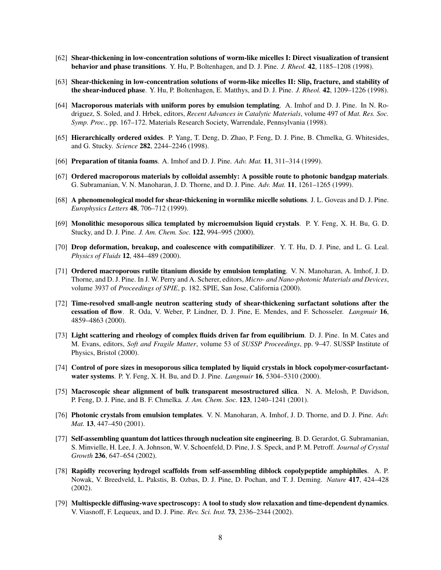- <span id="page-7-1"></span>[62] Shear-thickening in low-concentration solutions of worm-like micelles I: Direct visualization of transient behavior and phase transitions. Y. Hu, P. Boltenhagen, and D. J. Pine. *J. Rheol.* 42, 1185–1208 (1998).
- <span id="page-7-2"></span>[63] Shear-thickening in low-concentration solutions of worm-like micelles II: Slip, fracture, and stability of the shear-induced phase. Y. Hu, P. Boltenhagen, E. Matthys, and D. J. Pine. *J. Rheol.* 42, 1209–1226 (1998).
- [64] Macroporous materials with uniform pores by emulsion templating. A. Imhof and D. J. Pine. In N. Rodriguez, S. Soled, and J. Hrbek, editors, *Recent Advances in Catalytic Materials*, volume 497 of *Mat. Res. Soc. Symp. Proc.*, pp. 167–172. Materials Research Society, Warrendale, Pennsylvania (1998).
- <span id="page-7-8"></span>[65] Hierarchically ordered oxides. P. Yang, T. Deng, D. Zhao, P. Feng, D. J. Pine, B. Chmelka, G. Whitesides, and G. Stucky. *Science* 282, 2244–2246 (1998).
- [66] Preparation of titania foams. A. Imhof and D. J. Pine. *Adv. Mat.* 11, 311–314 (1999).
- <span id="page-7-3"></span>[67] Ordered macroporous materials by colloidal assembly: A possible route to photonic bandgap materials. G. Subramanian, V. N. Manoharan, J. D. Thorne, and D. J. Pine. *Adv. Mat.* 11, 1261–1265 (1999).
- [68] A phenomenological model for shear-thickening in wormlike micelle solutions. J. L. Goveas and D. J. Pine. *Europhysics Letters* 48, 706–712 (1999).
- <span id="page-7-5"></span>[69] Monolithic mesoporous silica templated by microemulsion liquid crystals. P. Y. Feng, X. H. Bu, G. D. Stucky, and D. J. Pine. *J. Am. Chem. Soc.* 122, 994–995 (2000).
- [70] **Drop deformation, breakup, and coalescence with compatibilizer.** Y. T. Hu, D. J. Pine, and L. G. Leal. *Physics of Fluids* 12, 484–489 (2000).
- [71] Ordered macroporous rutile titanium dioxide by emulsion templating. V. N. Manoharan, A. Imhof, J. D. Thorne, and D. J. Pine. In J. W. Perry and A. Scherer, editors, *Micro- and Nano-photonic Materials and Devices*, volume 3937 of *Proceedings of SPIE*, p. 182. SPIE, San Jose, California (2000).
- [72] Time-resolved small-angle neutron scattering study of shear-thickening surfactant solutions after the cessation of flow. R. Oda, V. Weber, P. Lindner, D. J. Pine, E. Mendes, and F. Schosseler. *Langmuir* 16, 4859–4863 (2000).
- [73] Light scattering and rheology of complex fluids driven far from equilibrium. D. J. Pine. In M. Cates and M. Evans, editors, *Soft and Fragile Matter*, volume 53 of *SUSSP Proceedings*, pp. 9–47. SUSSP Institute of Physics, Bristol (2000).
- <span id="page-7-6"></span>[74] Control of pore sizes in mesoporous silica templated by liquid crystals in block copolymer-cosurfactantwater systems. P. Y. Feng, X. H. Bu, and D. J. Pine. *Langmuir* 16, 5304–5310 (2000).
- <span id="page-7-7"></span>[75] Macroscopic shear alignment of bulk transparent mesostructured silica. N. A. Melosh, P. Davidson, P. Feng, D. J. Pine, and B. F. Chmelka. *J. Am. Chem. Soc.* 123, 1240–1241 (2001).
- <span id="page-7-4"></span>[76] Photonic crystals from emulsion templates. V. N. Manoharan, A. Imhof, J. D. Thorne, and D. J. Pine. *Adv. Mat.* 13, 447–450 (2001).
- [77] Self-assembling quantum dot lattices through nucleation site engineering. B. D. Gerardot, G. Subramanian, S. Minvielle, H. Lee, J. A. Johnson, W. V. Schoenfeld, D. Pine, J. S. Speck, and P. M. Petroff. *Journal of Crystal Growth* 236, 647–654 (2002).
- [78] Rapidly recovering hydrogel scaffolds from self-assembling diblock copolypeptide amphiphiles. A. P. Nowak, V. Breedveld, L. Pakstis, B. Ozbas, D. J. Pine, D. Pochan, and T. J. Deming. *Nature* 417, 424–428 (2002).
- <span id="page-7-0"></span>[79] Multispeckle diffusing-wave spectroscopy: A tool to study slow relaxation and time-dependent dynamics. V. Viasnoff, F. Lequeux, and D. J. Pine. *Rev. Sci. Inst.* 73, 2336–2344 (2002).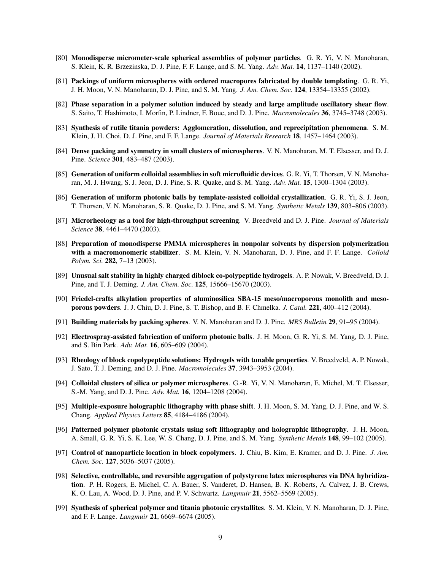- <span id="page-8-2"></span>[80] Monodisperse micrometer-scale spherical assemblies of polymer particles. G. R. Yi, V. N. Manoharan, S. Klein, K. R. Brzezinska, D. J. Pine, F. F. Lange, and S. M. Yang. *Adv. Mat.* 14, 1137–1140 (2002).
- <span id="page-8-3"></span>[81] Packings of uniform microspheres with ordered macropores fabricated by double templating. G. R. Yi, J. H. Moon, V. N. Manoharan, D. J. Pine, and S. M. Yang. *J. Am. Chem. Soc.* 124, 13354–13355 (2002).
- <span id="page-8-0"></span>[82] Phase separation in a polymer solution induced by steady and large amplitude oscillatory shear flow. S. Saito, T. Hashimoto, I. Morfin, P. Lindner, F. Boue, and D. J. Pine. *Macromolecules* 36, 3745–3748 (2003).
- [83] Synthesis of rutile titania powders: Agglomeration, dissolution, and reprecipitation phenomena. S. M. Klein, J. H. Choi, D. J. Pine, and F. F. Lange. *Journal of Materials Research* 18, 1457–1464 (2003).
- <span id="page-8-4"></span>[84] **Dense packing and symmetry in small clusters of microspheres**. V. N. Manoharan, M. T. Elsesser, and D. J. Pine. *Science* 301, 483–487 (2003).
- [85] Generation of uniform colloidal assemblies in soft microfluidic devices. G. R. Yi, T. Thorsen, V. N. Manoharan, M. J. Hwang, S. J. Jeon, D. J. Pine, S. R. Quake, and S. M. Yang. *Adv. Mat.* 15, 1300–1304 (2003).
- [86] Generation of uniform photonic balls by template-assisted colloidal crystallization. G. R. Yi, S. J. Jeon, T. Thorsen, V. N. Manoharan, S. R. Quake, D. J. Pine, and S. M. Yang. *Synthetic Metals* 139, 803–806 (2003).
- [87] Microrheology as a tool for high-throughput screening. V. Breedveld and D. J. Pine. *Journal of Materials Science* 38, 4461–4470 (2003).
- [88] Preparation of monodisperse PMMA microspheres in nonpolar solvents by dispersion polymerization with a macromonomeric stabilizer. S. M. Klein, V. N. Manoharan, D. J. Pine, and F. F. Lange. *Colloid Polym. Sci.* 282, 7–13 (2003).
- [89] Unusual salt stability in highly charged diblock co-polypeptide hydrogels. A. P. Nowak, V. Breedveld, D. J. Pine, and T. J. Deming. *J. Am. Chem. Soc.* 125, 15666–15670 (2003).
- <span id="page-8-1"></span>[90] Friedel-crafts alkylation properties of aluminosilica SBA-15 meso/macroporous monolith and mesoporous powders. J. J. Chiu, D. J. Pine, S. T. Bishop, and B. F. Chmelka. *J. Catal.* 221, 400–412 (2004).
- [91] Building materials by packing spheres. V. N. Manoharan and D. J. Pine. *MRS Bulletin* 29, 91–95 (2004).
- [92] Electrospray-assisted fabrication of uniform photonic balls. J. H. Moon, G. R. Yi, S. M. Yang, D. J. Pine, and S. Bin Park. *Adv. Mat.* 16, 605–609 (2004).
- [93] Rheology of block copolypeptide solutions: Hydrogels with tunable properties. V. Breedveld, A. P. Nowak, J. Sato, T. J. Deming, and D. J. Pine. *Macromolecules* 37, 3943–3953 (2004).
- [94] Colloidal clusters of silica or polymer microspheres. G.-R. Yi, V. N. Manoharan, E. Michel, M. T. Elsesser, S.-M. Yang, and D. J. Pine. *Adv. Mat.* 16, 1204–1208 (2004).
- [95] Multiple-exposure holographic lithography with phase shift. J. H. Moon, S. M. Yang, D. J. Pine, and W. S. Chang. *Applied Physics Letters* 85, 4184–4186 (2004).
- [96] Patterned polymer photonic crystals using soft lithography and holographic lithography. J. H. Moon, A. Small, G. R. Yi, S. K. Lee, W. S. Chang, D. J. Pine, and S. M. Yang. *Synthetic Metals* 148, 99–102 (2005).
- <span id="page-8-5"></span>[97] Control of nanoparticle location in block copolymers. J. Chiu, B. Kim, E. Kramer, and D. J. Pine. *J. Am. Chem. Soc.* 127, 5036–5037 (2005).
- [98] Selective, controllable, and reversible aggregation of polystyrene latex microspheres via DNA hybridization. P. H. Rogers, E. Michel, C. A. Bauer, S. Vanderet, D. Hansen, B. K. Roberts, A. Calvez, J. B. Crews, K. O. Lau, A. Wood, D. J. Pine, and P. V. Schwartz. *Langmuir* 21, 5562–5569 (2005).
- [99] Synthesis of spherical polymer and titania photonic crystallites. S. M. Klein, V. N. Manoharan, D. J. Pine, and F. F. Lange. *Langmuir* 21, 6669–6674 (2005).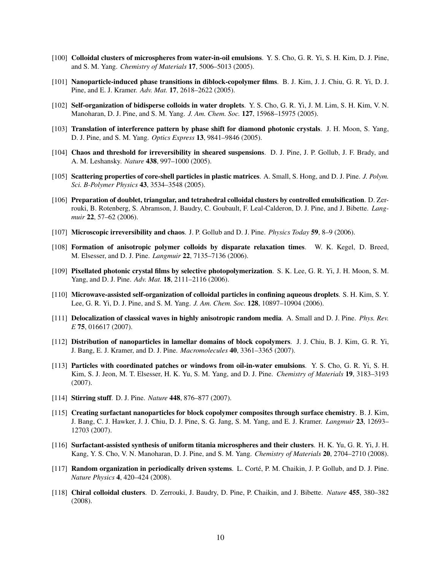- [100] Colloidal clusters of microspheres from water-in-oil emulsions. Y. S. Cho, G. R. Yi, S. H. Kim, D. J. Pine, and S. M. Yang. *Chemistry of Materials* 17, 5006–5013 (2005).
- <span id="page-9-0"></span>[101] Nanoparticle-induced phase transitions in diblock-copolymer films. B. J. Kim, J. J. Chiu, G. R. Yi, D. J. Pine, and E. J. Kramer. *Adv. Mat.* 17, 2618–2622 (2005).
- [102] Self-organization of bidisperse colloids in water droplets. Y. S. Cho, G. R. Yi, J. M. Lim, S. H. Kim, V. N. Manoharan, D. J. Pine, and S. M. Yang. *J. Am. Chem. Soc.* 127, 15968–15975 (2005).
- [103] Translation of interference pattern by phase shift for diamond photonic crystals. J. H. Moon, S. Yang, D. J. Pine, and S. M. Yang. *Optics Express* 13, 9841–9846 (2005).
- <span id="page-9-3"></span>[104] Chaos and threshold for irreversibility in sheared suspensions. D. J. Pine, J. P. Gollub, J. F. Brady, and A. M. Leshansky. *Nature* 438, 997–1000 (2005).
- [105] Scattering properties of core-shell particles in plastic matrices. A. Small, S. Hong, and D. J. Pine. *J. Polym. Sci. B-Polymer Physics* 43, 3534–3548 (2005).
- [106] Preparation of doublet, triangular, and tetrahedral colloidal clusters by controlled emulsification. D. Zerrouki, B. Rotenberg, S. Abramson, J. Baudry, C. Goubault, F. Leal-Calderon, D. J. Pine, and J. Bibette. *Langmuir* 22, 57–62 (2006).
- [107] Microscopic irreversibility and chaos. J. P. Gollub and D. J. Pine. *Physics Today* 59, 8–9 (2006).
- [108] Formation of anisotropic polymer colloids by disparate relaxation times. W. K. Kegel, D. Breed, M. Elsesser, and D. J. Pine. *Langmuir* 22, 7135–7136 (2006).
- [109] Pixellated photonic crystal films by selective photopolymerization. S. K. Lee, G. R. Yi, J. H. Moon, S. M. Yang, and D. J. Pine. *Adv. Mat.* 18, 2111–2116 (2006).
- [110] Microwave-assisted self-organization of colloidal particles in confining aqueous droplets. S. H. Kim, S. Y. Lee, G. R. Yi, D. J. Pine, and S. M. Yang. *J. Am. Chem. Soc.* 128, 10897–10904 (2006).
- [111] Delocalization of classical waves in highly anisotropic random media. A. Small and D. J. Pine. *Phys. Rev. E* 75, 016617 (2007).
- <span id="page-9-1"></span>[112] Distribution of nanoparticles in lamellar domains of block copolymers. J. J. Chiu, B. J. Kim, G. R. Yi, J. Bang, E. J. Kramer, and D. J. Pine. *Macromolecules* 40, 3361–3365 (2007).
- [113] Particles with coordinated patches or windows from oil-in-water emulsions. Y. S. Cho, G. R. Yi, S. H. Kim, S. J. Jeon, M. T. Elsesser, H. K. Yu, S. M. Yang, and D. J. Pine. *Chemistry of Materials* 19, 3183–3193 (2007).
- [114] Stirring stuff. D. J. Pine. *Nature* 448, 876–877 (2007).
- <span id="page-9-2"></span>[115] Creating surfactant nanoparticles for block copolymer composites through surface chemistry. B. J. Kim, J. Bang, C. J. Hawker, J. J. Chiu, D. J. Pine, S. G. Jang, S. M. Yang, and E. J. Kramer. *Langmuir* 23, 12693– 12703 (2007).
- [116] Surfactant-assisted synthesis of uniform titania microspheres and their clusters. H. K. Yu, G. R. Yi, J. H. Kang, Y. S. Cho, V. N. Manoharan, D. J. Pine, and S. M. Yang. *Chemistry of Materials* 20, 2704–2710 (2008).
- <span id="page-9-4"></span>[117] **Random organization in periodically driven systems.** L. Corté, P. M. Chaikin, J. P. Gollub, and D. J. Pine. *Nature Physics* 4, 420–424 (2008).
- [118] Chiral colloidal clusters. D. Zerrouki, J. Baudry, D. Pine, P. Chaikin, and J. Bibette. *Nature* 455, 380–382 (2008).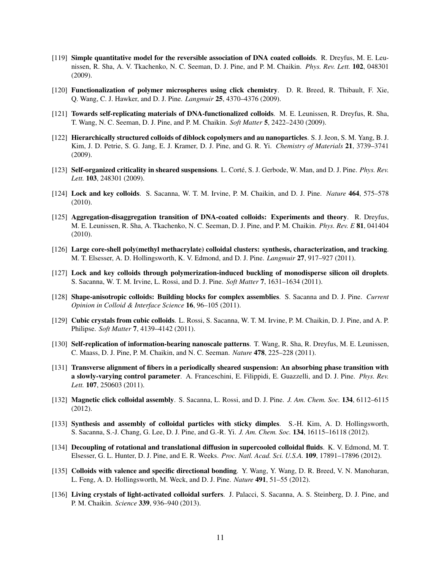- [119] Simple quantitative model for the reversible association of DNA coated colloids. R. Dreyfus, M. E. Leunissen, R. Sha, A. V. Tkachenko, N. C. Seeman, D. J. Pine, and P. M. Chaikin. *Phys. Rev. Lett.* 102, 048301 (2009).
- [120] Functionalization of polymer microspheres using click chemistry. D. R. Breed, R. Thibault, F. Xie, Q. Wang, C. J. Hawker, and D. J. Pine. *Langmuir* 25, 4370–4376 (2009).
- [121] Towards self-replicating materials of DNA-functionalized colloids. M. E. Leunissen, R. Dreyfus, R. Sha, T. Wang, N. C. Seeman, D. J. Pine, and P. M. Chaikin. *Soft Matter* 5, 2422–2430 (2009).
- <span id="page-10-0"></span>[122] Hierarchically structured colloids of diblock copolymers and au nanoparticles. S. J. Jeon, S. M. Yang, B. J. Kim, J. D. Petrie, S. G. Jang, E. J. Kramer, D. J. Pine, and G. R. Yi. *Chemistry of Materials* 21, 3739–3741 (2009).
- <span id="page-10-1"></span>[123] Self-organized criticality in sheared suspensions. L. Corté, S. J. Gerbode, W. Man, and D. J. Pine. *Phys. Rev. Lett.* 103, 248301 (2009).
- <span id="page-10-2"></span>[124] Lock and key colloids. S. Sacanna, W. T. M. Irvine, P. M. Chaikin, and D. J. Pine. *Nature* 464, 575–578 (2010).
- [125] Aggregation-disaggregation transition of DNA-coated colloids: Experiments and theory. R. Dreyfus, M. E. Leunissen, R. Sha, A. Tkachenko, N. C. Seeman, D. J. Pine, and P. M. Chaikin. *Phys. Rev. E* 81, 041404 (2010).
- [126] Large core-shell poly(methyl methacrylate) colloidal clusters: synthesis, characterization, and tracking. M. T. Elsesser, A. D. Hollingsworth, K. V. Edmond, and D. J. Pine. *Langmuir* 27, 917–927 (2011).
- [127] Lock and key colloids through polymerization-induced buckling of monodisperse silicon oil droplets. S. Sacanna, W. T. M. Irvine, L. Rossi, and D. J. Pine. *Soft Matter* 7, 1631–1634 (2011).
- [128] Shape-anisotropic colloids: Building blocks for complex assemblies. S. Sacanna and D. J. Pine. *Current Opinion in Colloid & Interface Science* 16, 96–105 (2011).
- [129] Cubic crystals from cubic colloids. L. Rossi, S. Sacanna, W. T. M. Irvine, P. M. Chaikin, D. J. Pine, and A. P. Philipse. *Soft Matter* 7, 4139–4142 (2011).
- [130] Self-replication of information-bearing nanoscale patterns. T. Wang, R. Sha, R. Dreyfus, M. E. Leunissen, C. Maass, D. J. Pine, P. M. Chaikin, and N. C. Seeman. *Nature* 478, 225–228 (2011).
- [131] Transverse alignment of fibers in a periodically sheared suspension: An absorbing phase transition with a slowly-varying control parameter. A. Franceschini, E. Filippidi, E. Guazzelli, and D. J. Pine. *Phys. Rev. Lett.* 107, 250603 (2011).
- [132] Magnetic click colloidal assembly. S. Sacanna, L. Rossi, and D. J. Pine. *J. Am. Chem. Soc.* 134, 6112–6115 (2012).
- [133] Synthesis and assembly of colloidal particles with sticky dimples. S.-H. Kim, A. D. Hollingsworth, S. Sacanna, S.-J. Chang, G. Lee, D. J. Pine, and G.-R. Yi. *J. Am. Chem. Soc.* 134, 16115–16118 (2012).
- [134] Decoupling of rotational and translational diffusion in supercooled colloidal fluids. K. V. Edmond, M. T. Elsesser, G. L. Hunter, D. J. Pine, and E. R. Weeks. *Proc. Natl. Acad. Sci. U.S.A.* 109, 17891–17896 (2012).
- <span id="page-10-4"></span>[135] Colloids with valence and specific directional bonding. Y. Wang, Y. Wang, D. R. Breed, V. N. Manoharan, L. Feng, A. D. Hollingsworth, M. Weck, and D. J. Pine. *Nature* 491, 51–55 (2012).
- <span id="page-10-3"></span>[136] Living crystals of light-activated colloidal surfers. J. Palacci, S. Sacanna, A. S. Steinberg, D. J. Pine, and P. M. Chaikin. *Science* 339, 936–940 (2013).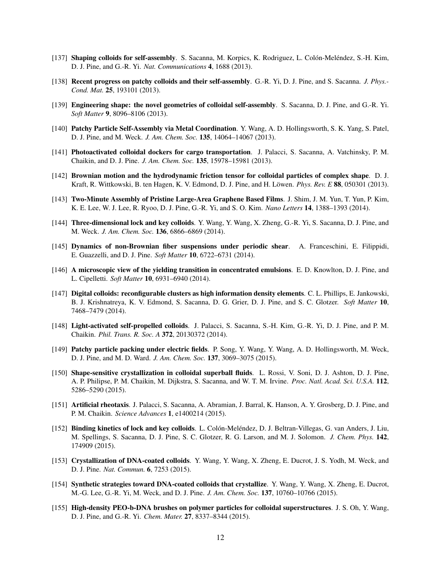- <span id="page-11-2"></span>[137] Shaping colloids for self-assembly. S. Sacanna, M. Korpics, K. Rodriguez, L. Colón-Meléndez, S.-H. Kim, D. J. Pine, and G.-R. Yi. *Nat. Communications* 4, 1688 (2013).
- [138] Recent progress on patchy colloids and their self-assembly. G.-R. Yi, D. J. Pine, and S. Sacanna. *J. Phys.- Cond. Mat.* 25, 193101 (2013).
- [139] Engineering shape: the novel geometries of colloidal self-assembly. S. Sacanna, D. J. Pine, and G.-R. Yi. *Soft Matter* 9, 8096–8106 (2013).
- [140] Patchy Particle Self-Assembly via Metal Coordination. Y. Wang, A. D. Hollingsworth, S. K. Yang, S. Patel, D. J. Pine, and M. Weck. *J. Am. Chem. Soc.* 135, 14064–14067 (2013).
- <span id="page-11-5"></span>[141] Photoactivated colloidal dockers for cargo transportation. J. Palacci, S. Sacanna, A. Vatchinsky, P. M. Chaikin, and D. J. Pine. *J. Am. Chem. Soc.* 135, 15978–15981 (2013).
- [142] Brownian motion and the hydrodynamic friction tensor for colloidal particles of complex shape. D. J. Kraft, R. Wittkowski, B. ten Hagen, K. V. Edmond, D. J. Pine, and H. Löwen. *Phys. Rev. E* **88**, 050301 (2013).
- [143] Two-Minute Assembly of Pristine Large-Area Graphene Based Films. J. Shim, J. M. Yun, T. Yun, P. Kim, K. E. Lee, W. J. Lee, R. Ryoo, D. J. Pine, G.-R. Yi, and S. O. Kim. *Nano Letters* 14, 1388–1393 (2014).
- <span id="page-11-3"></span>[144] Three-dimensional lock and key colloids. Y. Wang, Y. Wang, X. Zheng, G.-R. Yi, S. Sacanna, D. J. Pine, and M. Weck. *J. Am. Chem. Soc.* 136, 6866–6869 (2014).
- <span id="page-11-1"></span>[145] Dynamics of non-Brownian fiber suspensions under periodic shear. A. Franceschini, E. Filippidi, E. Guazzelli, and D. J. Pine. *Soft Matter* 10, 6722–6731 (2014).
- <span id="page-11-0"></span>[146] A microscopic view of the yielding transition in concentrated emulsions. E. D. Knowlton, D. J. Pine, and L. Cipelletti. *Soft Matter* 10, 6931–6940 (2014).
- [147] Digital colloids: reconfigurable clusters as high information density elements. C. L. Phillips, E. Jankowski, B. J. Krishnatreya, K. V. Edmond, S. Sacanna, D. G. Grier, D. J. Pine, and S. C. Glotzer. *Soft Matter* 10, 7468–7479 (2014).
- <span id="page-11-6"></span>[148] Light-activated self-propelled colloids. J. Palacci, S. Sacanna, S.-H. Kim, G.-R. Yi, D. J. Pine, and P. M. Chaikin. *Phil. Trans. R. Soc. A* 372, 20130372 (2014).
- [149] Patchy particle packing under electric fields. P. Song, Y. Wang, Y. Wang, A. D. Hollingsworth, M. Weck, D. J. Pine, and M. D. Ward. *J. Am. Chem. Soc.* 137, 3069–3075 (2015).
- [150] Shape-sensitive crystallization in colloidal superball fluids. L. Rossi, V. Soni, D. J. Ashton, D. J. Pine, A. P. Philipse, P. M. Chaikin, M. Dijkstra, S. Sacanna, and W. T. M. Irvine. *Proc. Natl. Acad. Sci. U.S.A.* 112, 5286–5290 (2015).
- <span id="page-11-7"></span>[151] Artificial rheotaxis. J. Palacci, S. Sacanna, A. Abramian, J. Barral, K. Hanson, A. Y. Grosberg, D. J. Pine, and P. M. Chaikin. *Science Advances* 1, e1400214 (2015).
- <span id="page-11-4"></span>[152] Binding kinetics of lock and key colloids. L. Colón-Meléndez, D. J. Beltran-Villegas, G. van Anders, J. Liu, M. Spellings, S. Sacanna, D. J. Pine, S. C. Glotzer, R. G. Larson, and M. J. Solomon. *J. Chem. Phys.* 142, 174909 (2015).
- <span id="page-11-8"></span>[153] Crystallization of DNA-coated colloids. Y. Wang, Y. Wang, X. Zheng, E. Ducrot, J. S. Yodh, M. Weck, and D. J. Pine. *Nat. Commun.* 6, 7253 (2015).
- <span id="page-11-9"></span>[154] Synthetic strategies toward DNA-coated colloids that crystallize. Y. Wang, Y. Wang, X. Zheng, E. Ducrot, M.-G. Lee, G.-R. Yi, M. Weck, and D. J. Pine. *J. Am. Chem. Soc.* 137, 10760–10766 (2015).
- <span id="page-11-10"></span>[155] High-density PEO-b-DNA brushes on polymer particles for colloidal superstructures. J. S. Oh, Y. Wang, D. J. Pine, and G.-R. Yi. *Chem. Mater.* 27, 8337–8344 (2015).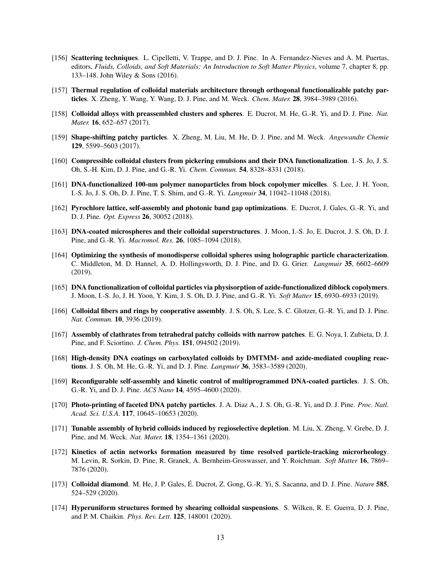- [156] Scattering techniques. L. Cipelletti, V. Trappe, and D. J. Pine. In A. Fernandez-Nieves and A. M. Puertas, editors, *Fluids, Colloids, and Soft Materials: An Introduction to Soft Matter Physics*, volume 7, chapter 8, pp. 133–148. John Wiley & Sons (2016).
- [157] Thermal regulation of colloidal materials architecture through orthogonal functionalizable patchy particles. X. Zheng, Y. Wang, Y. Wang, D. J. Pine, and M. Weck. *Chem. Mater.* 28, 3984–3989 (2016).
- <span id="page-12-3"></span>[158] Colloidal alloys with preassembled clusters and spheres. E. Ducrot, M. He, G.-R. Yi, and D. J. Pine. *Nat. Mater.* 16, 652–657 (2017).
- [159] Shape-shifting patchy particles. X. Zheng, M. Liu, M. He, D. J. Pine, and M. Weck. *Angewandte Chemie* 129, 5599–5603 (2017).
- [160] Compressible colloidal clusters from pickering emulsions and their DNA functionalization. I.-S. Jo, J. S. Oh, S.-H. Kim, D. J. Pine, and G.-R. Yi. *Chem. Commun.* 54, 8328–8331 (2018).
- [161] DNA-functionalized 100-nm polymer nanoparticles from block copolymer micelles. S. Lee, J. H. Yoon, I.-S. Jo, J. S. Oh, D. J. Pine, T. S. Shim, and G.-R. Yi. *Langmuir* 34, 11042–11048 (2018).
- <span id="page-12-4"></span>[162] Pyrochlore lattice, self-assembly and photonic band gap optimizations. E. Ducrot, J. Gales, G.-R. Yi, and D. J. Pine. *Opt. Express* 26, 30052 (2018).
- [163] DNA-coated microspheres and their colloidal superstructures. J. Moon, I.-S. Jo, E. Ducrot, J. S. Oh, D. J. Pine, and G.-R. Yi. *Macromol. Res.* 26, 1085–1094 (2018).
- [164] Optimizing the synthesis of monodisperse colloidal spheres using holographic particle characterization. C. Middleton, M. D. Hannel, A. D. Hollingsworth, D. J. Pine, and D. G. Grier. *Langmuir* 35, 6602–6609 (2019).
- [165] DNA functionalization of colloidal particles via physisorption of azide-functionalized diblock copolymers. J. Moon, I.-S. Jo, J. H. Yoon, Y. Kim, J. S. Oh, D. J. Pine, and G.-R. Yi. *Soft Matter* 15, 6930–6933 (2019).
- <span id="page-12-2"></span>[166] Colloidal fibers and rings by cooperative assembly. J. S. Oh, S. Lee, S. C. Glotzer, G.-R. Yi, and D. J. Pine. *Nat. Commun.* 10, 3936 (2019).
- [167] Assembly of clathrates from tetrahedral patchy colloids with narrow patches. E. G. Noya, I. Zubieta, D. J. Pine, and F. Sciortino. *J. Chem. Phys.* 151, 094502 (2019).
- <span id="page-12-1"></span>[168] High-density DNA coatings on carboxylated colloids by DMTMM- and azide-mediated coupling reactions. J. S. Oh, M. He, G.-R. Yi, and D. J. Pine. *Langmuir* 36, 3583–3589 (2020).
- [169] Reconfigurable self-assembly and kinetic control of multiprogrammed DNA-coated particles. J. S. Oh, G.-R. Yi, and D. J. Pine. *ACS Nano* 14, 4595–4600 (2020).
- [170] Photo-printing of faceted DNA patchy particles. J. A. Diaz A., J. S. Oh, G.-R. Yi, and D. J. Pine. *Proc. Natl. Acad. Sci. U.S.A.* 117, 10645–10653 (2020).
- [171] Tunable assembly of hybrid colloids induced by regioselective depletion. M. Liu, X. Zheng, V. Grebe, D. J. Pine, and M. Weck. *Nat. Mater.* 18, 1354–1361 (2020).
- [172] Kinetics of actin networks formation measured by time resolved particle-tracking microrheology. M. Levin, R. Sorkin, D. Pine, R. Granek, A. Bernheim-Groswasser, and Y. Roichman. *Soft Matter* 16, 7869– 7876 (2020).
- <span id="page-12-5"></span>[173] Colloidal diamond. M. He, J. P. Gales, E. Ducrot, Z. Gong, G.-R. Yi, S. Sacanna, and D. J. Pine. ´ *Nature* 585, 524–529 (2020).
- <span id="page-12-0"></span>[174] Hyperuniform structures formed by shearing colloidal suspensions. S. Wilken, R. E. Guerra, D. J. Pine, and P. M. Chaikin. *Phys. Rev. Lett.* 125, 148001 (2020).